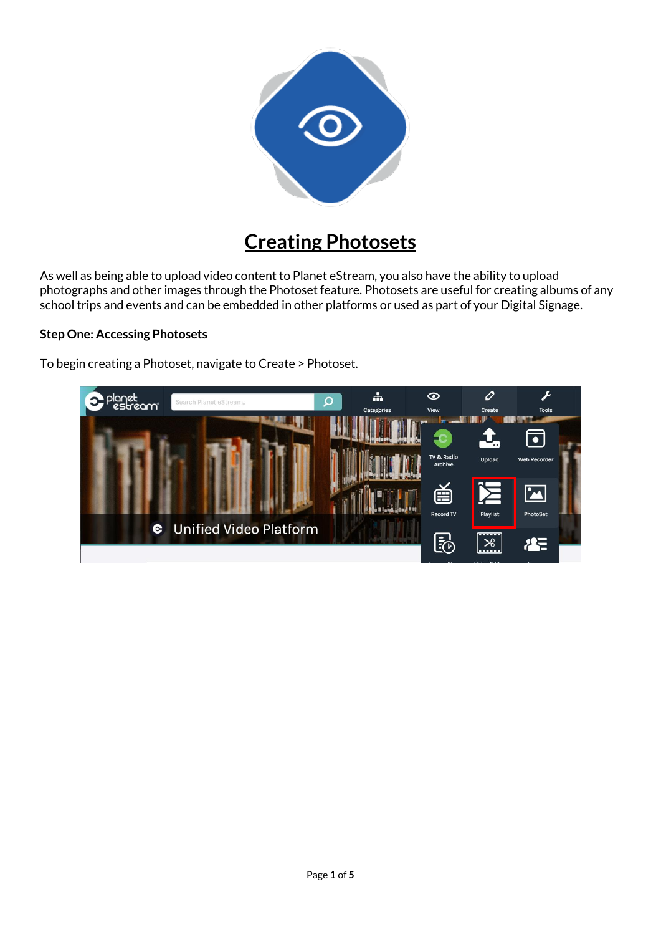

# **Creating Photosets**

As well as being able to upload video content to Planet eStream, you also have the ability to upload photographs and other images through the Photoset feature. Photosets are useful for creating albums of any school trips and events and can be embedded in other platforms or used as part of your Digital Signage.

## **Step One: Accessing Photosets**

To begin creating a Photoset, navigate to Create > Photoset.

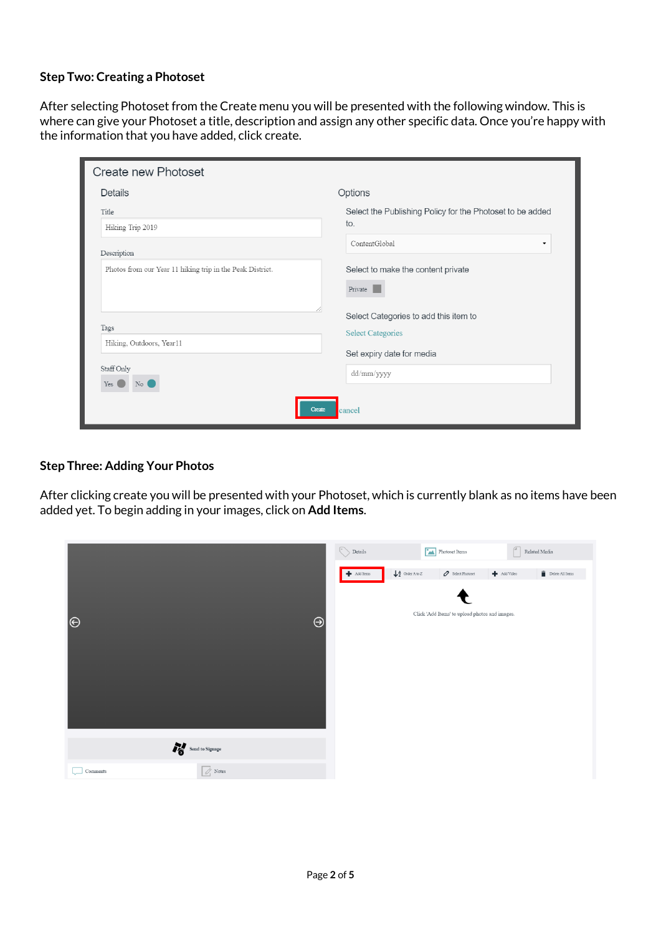## **Step Two: Creating a Photoset**

After selecting Photoset from the Create menu you will be presented with the following window. This is where can give your Photoset a title, description and assign any other specific data. Once you're happy with the information that you have added, click create.

| Create new Photoset                                       |                                                                  |
|-----------------------------------------------------------|------------------------------------------------------------------|
| <b>Details</b>                                            | Options                                                          |
| Title                                                     | Select the Publishing Policy for the Photoset to be added<br>to. |
| Hiking Trip 2019                                          | ContentGlobal<br>$\blacktriangledown$                            |
| Description                                               |                                                                  |
| Photos from our Year 11 hiking trip in the Peak District. | Select to make the content private                               |
|                                                           | Private                                                          |
|                                                           | Select Categories to add this item to                            |
| Tags<br>Hiking, Outdoors, Year11                          | <b>Select Categories</b>                                         |
|                                                           | Set expiry date for media                                        |
| Staff Only<br>No (<br>$Yes$ $\Box$                        | dd/mm/yyyy                                                       |
| Create                                                    | cancel                                                           |

## **Step Three: Adding Your Photos**

After clicking create you will be presented with your Photoset, which is currently blank as no items have been added yet. To begin adding in your images, click on **Add Items**.

|                 |                 | $\begin{tabular}{ c c } \hline \quad \quad & \quad \quad & \quad \quad & \quad \quad & \quad \quad & \quad \quad \\ \hline \quad \quad & \quad \quad & \quad \quad & \quad \quad & \quad \quad & \quad \quad & \quad \quad \\ \hline \quad \quad & \quad \quad & \quad \quad & \quad \quad & \quad \quad & \quad \quad & \quad \quad \\ \hline \end{tabular}$ | Photoset Items                          |                                                                 | $\boxed{d}$<br>Related Media                                                      |
|-----------------|-----------------|---------------------------------------------------------------------------------------------------------------------------------------------------------------------------------------------------------------------------------------------------------------------------------------------------------------------------------------------------------------|-----------------------------------------|-----------------------------------------------------------------|-----------------------------------------------------------------------------------|
|                 |                 | $+$ Add Items                                                                                                                                                                                                                                                                                                                                                 | $\downarrow$ $\frac{A}{2}$ Order A to Z | $\mathcal O$ Select Photoset<br>$\blacktriangleright$ Add Video | $\begin{tabular}{ c c } \hline \quad \quad \text{Delete All items} \end{tabular}$ |
|                 |                 |                                                                                                                                                                                                                                                                                                                                                               |                                         |                                                                 |                                                                                   |
| $\Theta$        | $\Theta$        |                                                                                                                                                                                                                                                                                                                                                               |                                         | Click 'Add Items' to upload photos and images.                  |                                                                                   |
|                 |                 |                                                                                                                                                                                                                                                                                                                                                               |                                         |                                                                 |                                                                                   |
|                 |                 |                                                                                                                                                                                                                                                                                                                                                               |                                         |                                                                 |                                                                                   |
|                 |                 |                                                                                                                                                                                                                                                                                                                                                               |                                         |                                                                 |                                                                                   |
|                 |                 |                                                                                                                                                                                                                                                                                                                                                               |                                         |                                                                 |                                                                                   |
| Send to Signage |                 |                                                                                                                                                                                                                                                                                                                                                               |                                         |                                                                 |                                                                                   |
| Comments        | $\oslash$ Notes |                                                                                                                                                                                                                                                                                                                                                               |                                         |                                                                 |                                                                                   |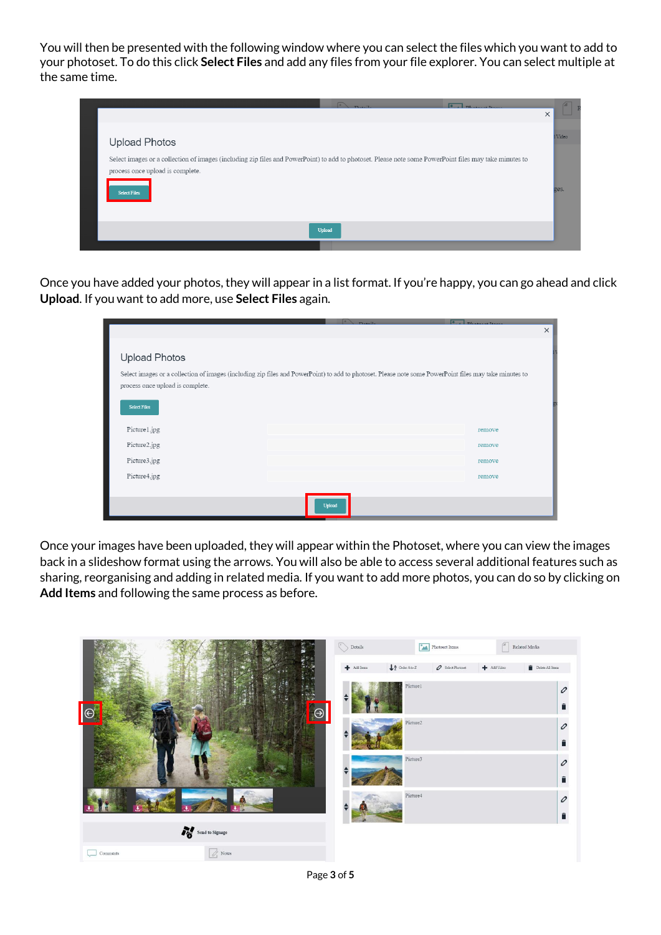You will then be presented with the following window where you can select the files which you want to add to your photoset. To do this click **Select Files** and add any files from your file explorer. You can select multiple at the same time.



Once you have added your photos, they will appear in a list format. If you're happy, you can go ahead and click **Upload**. If you want to add more, use **Select Files** again.

|                                  | $\sim$ $R_{\text{total}}$                                                                                                                              | o<br>DIstance Taxa |
|----------------------------------|--------------------------------------------------------------------------------------------------------------------------------------------------------|--------------------|
|                                  |                                                                                                                                                        | $\times$           |
|                                  |                                                                                                                                                        |                    |
| <b>Upload Photos</b>             |                                                                                                                                                        |                    |
| process once upload is complete. | Select images or a collection of images (including zip files and PowerPoint) to add to photoset. Please note some PowerPoint files may take minutes to |                    |
| <b>Select Files</b>              |                                                                                                                                                        |                    |
| Picture1.jpg                     |                                                                                                                                                        | remove             |
| Picture2.jpg                     |                                                                                                                                                        | remove             |
| Picture3.jpg                     |                                                                                                                                                        | remove             |
| Picture4.jpg                     |                                                                                                                                                        | remove             |
|                                  |                                                                                                                                                        |                    |
|                                  | Upload                                                                                                                                                 |                    |

Once your images have been uploaded, they will appear within the Photoset, where you can view the images back in a slideshow format using the arrows. You will also be able to access several additional features such as sharing, reorganising and adding in related media. If you want to add more photos, you can do so by clicking on **Add Items** and following the same process as before.

|                                            | $\bigcirc$ Details | <b>Photoset Items</b>                                                   | $\sqrt{a}$<br>Related Media                                                                    |
|--------------------------------------------|--------------------|-------------------------------------------------------------------------|------------------------------------------------------------------------------------------------|
|                                            | + Add Items        | $\downarrow$ $\frac{A}{2}$ Order A to Z<br>$\mathcal O$ Select Photoset | Add Video<br>$\begin{tabular}{ c c } \hline \quad \quad \text{Delete All items} \end{tabular}$ |
| $\Theta$                                   |                    | Picture1                                                                | 0                                                                                              |
|                                            |                    | Picture <sub>2</sub>                                                    | 0<br>É                                                                                         |
|                                            |                    | Picture <sub>3</sub>                                                    | 0                                                                                              |
|                                            |                    | Picture4                                                                | 0                                                                                              |
| Send to Signage                            |                    |                                                                         |                                                                                                |
| $\boxed{\oslash}$ Notes<br>$\Box$ Comments |                    |                                                                         |                                                                                                |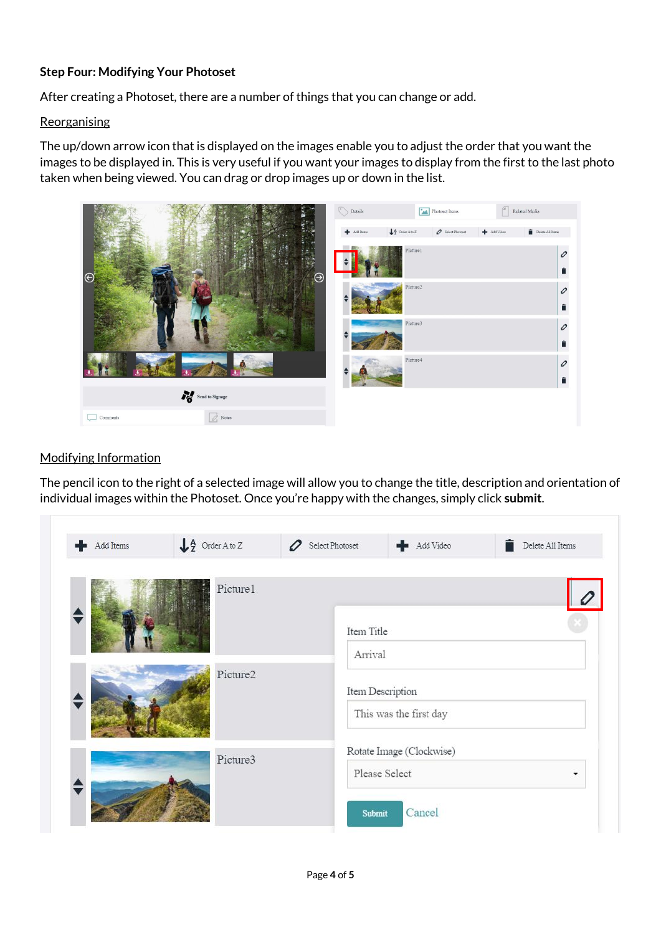## **Step Four: Modifying Your Photoset**

After creating a Photoset, there are a number of things that you can change or add.

#### **Reorganising**

The up/down arrow icon that is displayed on the images enable you to adjust the order that you want the images to be displayed in. This is very useful if you want your images to display from the first to the last photo taken when being viewed. You can drag or drop images up or down in the list.



## Modifying Information

The pencil icon to the right of a selected image will allow you to change the title, description and orientation of individual images within the Photoset. Once you're happy with the changes, simply click **submit**.

| Add Items | $\downarrow$ $\frac{A}{2}$ Order A to Z | Select Photoset<br>Ė<br>Add Video<br>0<br>Delete All Items |  |  |
|-----------|-----------------------------------------|------------------------------------------------------------|--|--|
|           | Picture1                                | Item Title                                                 |  |  |
|           | Picture2                                | Arrival<br>Item Description<br>This was the first day      |  |  |
| Picture3  |                                         | Rotate Image (Clockwise)<br>Please Select                  |  |  |
|           | Cancel<br><b>Submit</b>                 |                                                            |  |  |